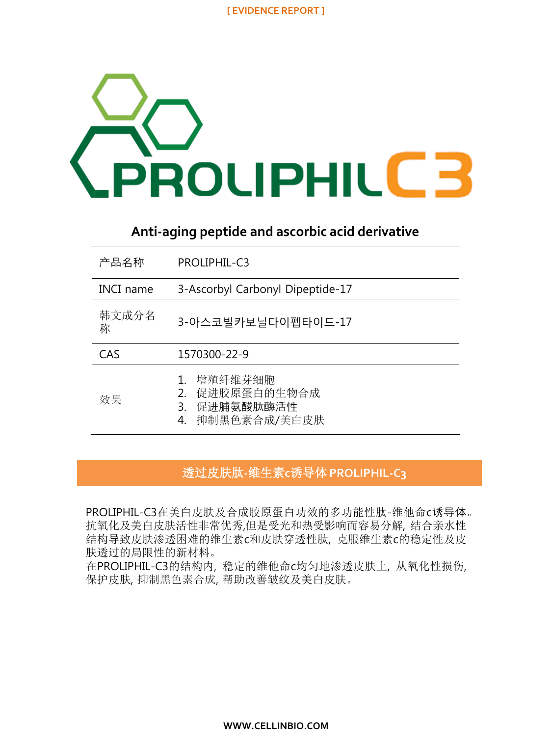

# **Anti-aging peptide and ascorbic acid derivative**

| 产品名称       | <b>PROLIPHIL-C3</b>                                                        |
|------------|----------------------------------------------------------------------------|
| INCI name  | 3-Ascorbyl Carbonyl Dipeptide-17                                           |
| 韩文成分名<br>称 | 3-아스코빌카보닐다이펩타이드-17                                                         |
| CAS        | 1570300-22-9                                                               |
| 效果         | 增殖纤维芽细胞<br>促进胶原蛋白的生物合成<br>$2_{-}$<br>促进脯氨酸肽酶活性<br>3.<br>抑制黑色素合成/美白皮肤<br>4. |

## 透过皮肤肽**-**维生素**c**诱导体 **PROLIPHIL-C3**

PROLIPHIL-C3在美白皮肤及合成胶原蛋白功效的多功能性肽-维他命c诱导体。 抗氧化及美白皮肤活性非常优秀,但是受光和热受影响而容易分解, 结合亲水性 结构导致皮肤渗透困难的维生素c和皮肤穿透性肽, 克服维生素c的稳定性及皮 肤透过的局限性的新材料。

在PROLIPHIL-C3的结构内, 稳定的维他命c均匀地渗透皮肤上, 从氧化性损伤, 保护皮肤, 抑制黑色素合成, 帮助改善皱纹及美白皮肤。